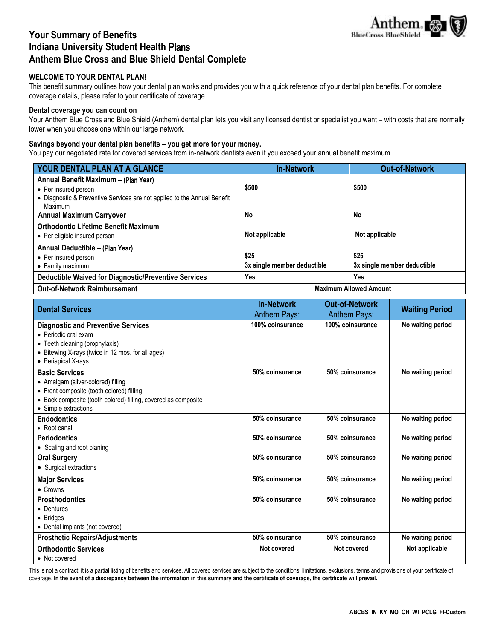

# **Your Summary of Benefits Indiana University Student Health** Plans **Anthem Blue Cross and Blue Shield Dental Complete**

# **WELCOME TO YOUR DENTAL PLAN!**

This benefit summary outlines how your dental plan works and provides you with a quick reference of your dental plan benefits. For complete coverage details, please refer to your certificate of coverage.

# **Dental coverage you can count on**

Your Anthem Blue Cross and Blue Shield (Anthem) dental plan lets you visit any licensed dentist or specialist you want – with costs that are normally lower when you choose one within our large network.

# **Savings beyond your dental plan benefits – you get more for your money.**

You pay our negotiated rate for covered services from in-network dentists even if you exceed your annual benefit maximum.

| YOUR DENTAL PLAN AT A GLANCE                                                                                                                        | <b>In-Network</b>                   | <b>Out-of-Network</b>               |
|-----------------------------------------------------------------------------------------------------------------------------------------------------|-------------------------------------|-------------------------------------|
| Annual Benefit Maximum - (Plan Year)<br>• Per insured person<br>• Diagnostic & Preventive Services are not applied to the Annual Benefit<br>Maximum | \$500                               | \$500                               |
| <b>Annual Maximum Carryover</b>                                                                                                                     | No                                  | No                                  |
| <b>Orthodontic Lifetime Benefit Maximum</b><br>• Per eligible insured person                                                                        | Not applicable                      | Not applicable                      |
| Annual Deductible - (Plan Year)<br>• Per insured person<br>• Family maximum                                                                         | \$25<br>3x single member deductible | \$25<br>3x single member deductible |
| <b>Deductible Waived for Diagnostic/Preventive Services</b>                                                                                         | Yes                                 | Yes                                 |
| <b>Out-of-Network Reimbursement</b>                                                                                                                 | <b>Maximum Allowed Amount</b>       |                                     |

| <b>Dental Services</b>                                                                                                                                                                             | <b>In-Network</b><br><b>Anthem Pays:</b> | <b>Out-of-Network</b><br><b>Anthem Pays:</b> | <b>Waiting Period</b> |
|----------------------------------------------------------------------------------------------------------------------------------------------------------------------------------------------------|------------------------------------------|----------------------------------------------|-----------------------|
| <b>Diagnostic and Preventive Services</b><br>• Periodic oral exam<br>• Teeth cleaning (prophylaxis)<br>• Bitewing X-rays (twice in 12 mos. for all ages)<br>• Periapical X-rays                    | 100% coinsurance                         | 100% coinsurance                             | No waiting period     |
| <b>Basic Services</b><br>• Amalgam (silver-colored) filling<br>• Front composite (tooth colored) filling<br>• Back composite (tooth colored) filling, covered as composite<br>• Simple extractions | 50% coinsurance                          | 50% coinsurance                              | No waiting period     |
| <b>Endodontics</b><br>• Root canal                                                                                                                                                                 | 50% coinsurance                          | 50% coinsurance                              | No waiting period     |
| <b>Periodontics</b><br>• Scaling and root planing                                                                                                                                                  | 50% coinsurance                          | 50% coinsurance                              | No waiting period     |
| <b>Oral Surgery</b><br>• Surgical extractions                                                                                                                                                      | 50% coinsurance                          | 50% coinsurance                              | No waiting period     |
| <b>Major Services</b><br>$\bullet$ Crowns                                                                                                                                                          | 50% coinsurance                          | 50% coinsurance                              | No waiting period     |
| <b>Prosthodontics</b><br>• Dentures<br>• Bridges<br>• Dental implants (not covered)                                                                                                                | 50% coinsurance                          | 50% coinsurance                              | No waiting period     |
| <b>Prosthetic Repairs/Adjustments</b>                                                                                                                                                              | 50% coinsurance                          | 50% coinsurance                              | No waiting period     |
| <b>Orthodontic Services</b><br>• Not covered                                                                                                                                                       | Not covered                              | Not covered                                  | Not applicable        |

This is not a contract; it is a partial listing of benefits and services. All covered services are subject to the conditions, limitations, exclusions, terms and provisions of your certificate of coverage. **In the event of a discrepancy between the information in this summary and the certificate of coverage, the certificate will prevail.**  .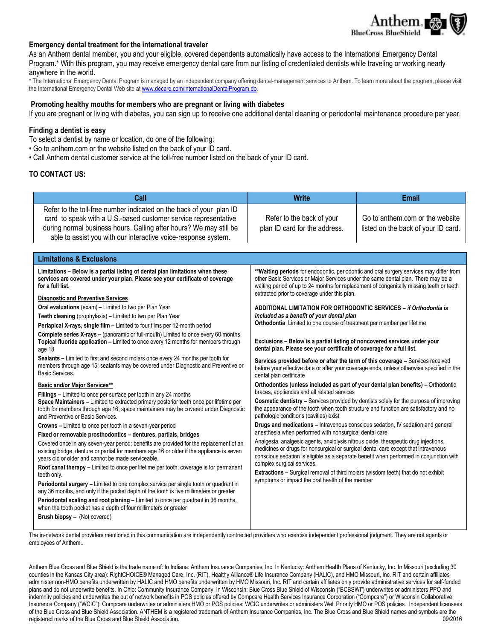

## **Emergency dental treatment for the international traveler**

As an Anthem dental member, you and your eligible, covered dependents automatically have access to the International Emergency Dental Program.\* With this program, you may receive emergency dental care from our listing of credentialed dentists while traveling or working nearly anywhere in the world.

\* The International Emergency Dental Program is managed by an independent company offering dental-management services to Anthem. To learn more about the program, please visit the International Emergency Dental Web site at [www.decare.com/internationalDentalProgram.do.](http://www.decaredental.com/internationalDentalProgram.do)

#### **Promoting healthy mouths for members who are pregnant or living with diabetes**

If you are pregnant or living with diabetes, you can sign up to receive one additional dental cleaning or periodontal maintenance procedure per year.

#### **Finding a dentist is easy**

To select a dentist by name or location, do one of the following:

- Go to anthem.com or the website listed on the back of your ID card.
- Call Anthem dental customer service at the toll-free number listed on the back of your ID card.

#### **TO CONTACT US:**

| Call                                                                                                                                                                                                                                                                                                                                                                                                                                                                                                                                                                                                                                                                                                                                                                                                                                                                                                                                                                                                                                                                                                                                                                                                                                                                                                               | <b>Write</b>                                                                                                                                                                                                                                                                                                                                                                                                                                                                                                                                                                                                                                                                                                                                                                                                                                                                                                                                                                                                                                                                                                                                                                                                                                                                                                                                                                                                                                                                                                                                                                                                                                                                                                                                                                                                                                                | <b>Email</b>                                                           |
|--------------------------------------------------------------------------------------------------------------------------------------------------------------------------------------------------------------------------------------------------------------------------------------------------------------------------------------------------------------------------------------------------------------------------------------------------------------------------------------------------------------------------------------------------------------------------------------------------------------------------------------------------------------------------------------------------------------------------------------------------------------------------------------------------------------------------------------------------------------------------------------------------------------------------------------------------------------------------------------------------------------------------------------------------------------------------------------------------------------------------------------------------------------------------------------------------------------------------------------------------------------------------------------------------------------------|-------------------------------------------------------------------------------------------------------------------------------------------------------------------------------------------------------------------------------------------------------------------------------------------------------------------------------------------------------------------------------------------------------------------------------------------------------------------------------------------------------------------------------------------------------------------------------------------------------------------------------------------------------------------------------------------------------------------------------------------------------------------------------------------------------------------------------------------------------------------------------------------------------------------------------------------------------------------------------------------------------------------------------------------------------------------------------------------------------------------------------------------------------------------------------------------------------------------------------------------------------------------------------------------------------------------------------------------------------------------------------------------------------------------------------------------------------------------------------------------------------------------------------------------------------------------------------------------------------------------------------------------------------------------------------------------------------------------------------------------------------------------------------------------------------------------------------------------------------------|------------------------------------------------------------------------|
| Refer to the toll-free number indicated on the back of your plan ID<br>card to speak with a U.S.-based customer service representative<br>during normal business hours. Calling after hours? We may still be<br>able to assist you with our interactive voice-response system.                                                                                                                                                                                                                                                                                                                                                                                                                                                                                                                                                                                                                                                                                                                                                                                                                                                                                                                                                                                                                                     | Refer to the back of your<br>plan ID card for the address.                                                                                                                                                                                                                                                                                                                                                                                                                                                                                                                                                                                                                                                                                                                                                                                                                                                                                                                                                                                                                                                                                                                                                                                                                                                                                                                                                                                                                                                                                                                                                                                                                                                                                                                                                                                                  | Go to anthem.com or the website<br>listed on the back of your ID card. |
|                                                                                                                                                                                                                                                                                                                                                                                                                                                                                                                                                                                                                                                                                                                                                                                                                                                                                                                                                                                                                                                                                                                                                                                                                                                                                                                    |                                                                                                                                                                                                                                                                                                                                                                                                                                                                                                                                                                                                                                                                                                                                                                                                                                                                                                                                                                                                                                                                                                                                                                                                                                                                                                                                                                                                                                                                                                                                                                                                                                                                                                                                                                                                                                                             |                                                                        |
| <b>Limitations &amp; Exclusions</b>                                                                                                                                                                                                                                                                                                                                                                                                                                                                                                                                                                                                                                                                                                                                                                                                                                                                                                                                                                                                                                                                                                                                                                                                                                                                                |                                                                                                                                                                                                                                                                                                                                                                                                                                                                                                                                                                                                                                                                                                                                                                                                                                                                                                                                                                                                                                                                                                                                                                                                                                                                                                                                                                                                                                                                                                                                                                                                                                                                                                                                                                                                                                                             |                                                                        |
| Limitations - Below is a partial listing of dental plan limitations when these<br>services are covered under your plan. Please see your certificate of coverage<br>for a full list.<br><b>Diagnostic and Preventive Services</b><br>Oral evaluations (exam) - Limited to two per Plan Year<br>Teeth cleaning (prophylaxis) - Limited to two per Plan Year<br>Periapical X-rays, single film - Limited to four films per 12-month period<br><b>Complete series X-rays - (panoramic or full-mouth)</b> Limited to once every 60 months<br>Topical fluoride application - Limited to once every 12 months for members through<br>age 18<br>Sealants - Limited to first and second molars once every 24 months per tooth for<br>members through age 15; sealants may be covered under Diagnostic and Preventive or<br><b>Basic Services.</b><br><b>Basic and/or Major Services**</b><br>Fillings – Limited to once per surface per tooth in any 24 months<br>Space Maintainers - Limited to extracted primary posterior teeth once per lifetime per<br>tooth for members through age 16; space maintainers may be covered under Diagnostic<br>and Preventive or Basic Services.<br><b>Crowns</b> – Limited to once per tooth in a seven-year period<br>Fixed or removable prosthodontics - dentures, partials, bridges | ** Waiting periods for endodontic, periodontic and oral surgery services may differ from<br>other Basic Services or Major Services under the same dental plan. There may be a<br>waiting period of up to 24 months for replacement of congenitally missing teeth or teeth<br>extracted prior to coverage under this plan.<br>ADDITIONAL LIMITATION FOR ORTHODONTIC SERVICES - if Orthodontia is<br>included as a benefit of your dental plan<br>Orthodontia Limited to one course of treatment per member per lifetime<br>Exclusions - Below is a partial listing of noncovered services under your<br>dental plan. Please see your certificate of coverage for a full list.<br>Services provided before or after the term of this coverage - Services received<br>before your effective date or after your coverage ends, unless otherwise specified in the<br>dental plan certificate<br>Orthodontics (unless included as part of your dental plan benefits) – Orthodontic<br>braces, appliances and all related services<br><b>Cosmetic dentistry - Services provided by dentists solely for the purpose of improving</b><br>the appearance of the tooth when tooth structure and function are satisfactory and no<br>pathologic conditions (cavities) exist<br>Drugs and medications - Intravenous conscious sedation, IV sedation and general<br>anesthesia when performed with nonsurgical dental care<br>Analgesia, analgesic agents, anxiolysis nitrous oxide, therapeutic drug injections,<br>medicines or drugs for nonsurgical or surgical dental care except that intravenous<br>conscious sedation is eligible as a separate benefit when performed in conjunction with<br>complex surgical services.<br>Extractions - Surgical removal of third molars (wisdom teeth) that do not exhibit<br>symptoms or impact the oral health of the member |                                                                        |
| Covered once in any seven-year period; benefits are provided for the replacement of an<br>existing bridge, denture or partial for members age 16 or older if the appliance is seven<br>years old or older and cannot be made serviceable.<br>Root canal therapy - Limited to once per lifetime per tooth; coverage is for permanent<br>teeth only.<br><b>Periodontal surgery - Limited to one complex service per single tooth or quadrant in</b><br>any 36 months, and only if the pocket depth of the tooth is five millimeters or greater<br>Periodontal scaling and root planing - Limited to once per quadrant in 36 months,<br>when the tooth pocket has a depth of four millimeters or greater<br><b>Brush biopsy - (Not covered)</b>                                                                                                                                                                                                                                                                                                                                                                                                                                                                                                                                                                       |                                                                                                                                                                                                                                                                                                                                                                                                                                                                                                                                                                                                                                                                                                                                                                                                                                                                                                                                                                                                                                                                                                                                                                                                                                                                                                                                                                                                                                                                                                                                                                                                                                                                                                                                                                                                                                                             |                                                                        |

The in-network dental providers mentioned in this communication are independently contracted providers who exercise independent professional judgment. They are not agents or employees of Anthem..

Anthem Blue Cross and Blue Shield is the trade name of: In Indiana: Anthem Insurance Companies, Inc. In Kentucky: Anthem Health Plans of Kentucky, Inc. In Missouri (excluding 30 counties in the Kansas City area): RightCHOICE® Managed Care, Inc. (RIT), Healthy Alliance® Life Insurance Company (HALIC), and HMO Missouri, Inc. RIT and certain affiliates administer non-HMO benefits underwritten by HALIC and HMO benefits underwritten by HMO Missouri, Inc. RIT and certain affiliates only provide administrative services for self-funded plans and do not underwrite benefits. In Ohio: Community Insurance Company. In Wisconsin: Blue Cross Blue Shield of Wisconsin ("BCBSWI") underwrites or administers PPO and indemnity policies and underwrites the out of network benefits in POS policies offered by Compcare Health Services Insurance Corporation ("Compcare") or Wisconsin Collaborative Insurance Company ("WCIC"); Compcare underwrites or administers HMO or POS policies; WCIC underwrites or administers Well Priority HMO or POS policies. Independent licensees of the Blue Cross and Blue Shield Association. ANTHEM is a registered trademark of Anthem Insurance Companies, Inc. The Blue Cross and Blue Shield names and symbols are the registered marks of the Blue Cross and Blue Shield Association. 09/2016